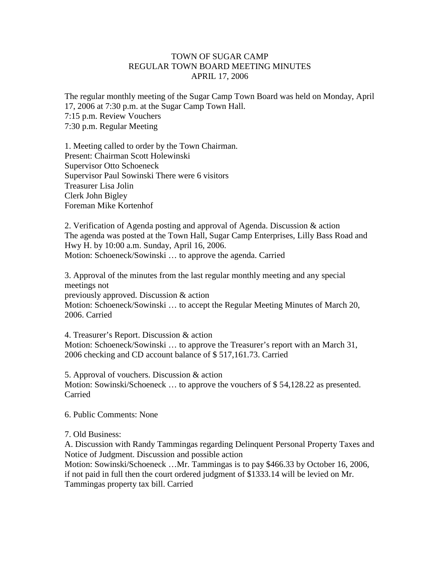## TOWN OF SUGAR CAMP REGULAR TOWN BOARD MEETING MINUTES APRIL 17, 2006

The regular monthly meeting of the Sugar Camp Town Board was held on Monday, April 17, 2006 at 7:30 p.m. at the Sugar Camp Town Hall. 7:15 p.m. Review Vouchers 7:30 p.m. Regular Meeting

1. Meeting called to order by the Town Chairman. Present: Chairman Scott Holewinski Supervisor Otto Schoeneck Supervisor Paul Sowinski There were 6 visitors Treasurer Lisa Jolin Clerk John Bigley Foreman Mike Kortenhof

2. Verification of Agenda posting and approval of Agenda. Discussion & action The agenda was posted at the Town Hall, Sugar Camp Enterprises, Lilly Bass Road and Hwy H. by 10:00 a.m. Sunday, April 16, 2006. Motion: Schoeneck/Sowinski … to approve the agenda. Carried

3. Approval of the minutes from the last regular monthly meeting and any special meetings not previously approved. Discussion & action Motion: Schoeneck/Sowinski … to accept the Regular Meeting Minutes of March 20, 2006. Carried

4. Treasurer's Report. Discussion & action Motion: Schoeneck/Sowinski … to approve the Treasurer's report with an March 31, 2006 checking and CD account balance of \$ 517,161.73. Carried

5. Approval of vouchers. Discussion & action Motion: Sowinski/Schoeneck ... to approve the vouchers of \$54,128.22 as presented. Carried

6. Public Comments: None

7. Old Business:

A. Discussion with Randy Tammingas regarding Delinquent Personal Property Taxes and Notice of Judgment. Discussion and possible action

Motion: Sowinski/Schoeneck …Mr. Tammingas is to pay \$466.33 by October 16, 2006, if not paid in full then the court ordered judgment of \$1333.14 will be levied on Mr. Tammingas property tax bill. Carried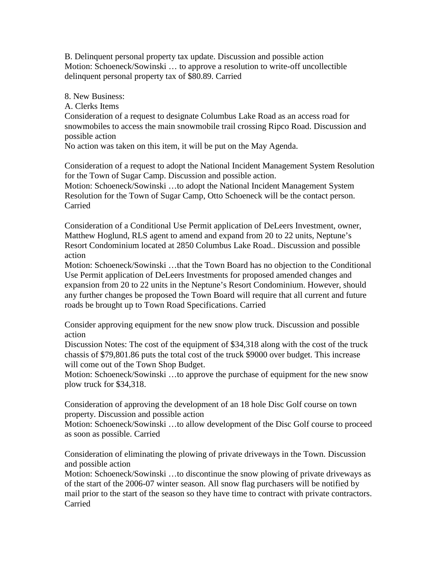B. Delinquent personal property tax update. Discussion and possible action Motion: Schoeneck/Sowinski … to approve a resolution to write-off uncollectible delinquent personal property tax of \$80.89. Carried

8. New Business:

A. Clerks Items

Consideration of a request to designate Columbus Lake Road as an access road for snowmobiles to access the main snowmobile trail crossing Ripco Road. Discussion and possible action

No action was taken on this item, it will be put on the May Agenda.

Consideration of a request to adopt the National Incident Management System Resolution for the Town of Sugar Camp. Discussion and possible action. Motion: Schoeneck/Sowinski …to adopt the National Incident Management System Resolution for the Town of Sugar Camp, Otto Schoeneck will be the contact person. Carried

Consideration of a Conditional Use Permit application of DeLeers Investment, owner, Matthew Hoglund, RLS agent to amend and expand from 20 to 22 units, Neptune's Resort Condominium located at 2850 Columbus Lake Road.. Discussion and possible action

Motion: Schoeneck/Sowinski …that the Town Board has no objection to the Conditional Use Permit application of DeLeers Investments for proposed amended changes and expansion from 20 to 22 units in the Neptune's Resort Condominium. However, should any further changes be proposed the Town Board will require that all current and future roads be brought up to Town Road Specifications. Carried

Consider approving equipment for the new snow plow truck. Discussion and possible action

Discussion Notes: The cost of the equipment of \$34,318 along with the cost of the truck chassis of \$79,801.86 puts the total cost of the truck \$9000 over budget. This increase will come out of the Town Shop Budget.

Motion: Schoeneck/Sowinski …to approve the purchase of equipment for the new snow plow truck for \$34,318.

Consideration of approving the development of an 18 hole Disc Golf course on town property. Discussion and possible action

Motion: Schoeneck/Sowinski …to allow development of the Disc Golf course to proceed as soon as possible. Carried

Consideration of eliminating the plowing of private driveways in the Town. Discussion and possible action

Motion: Schoeneck/Sowinski ...to discontinue the snow plowing of private driveways as of the start of the 2006-07 winter season. All snow flag purchasers will be notified by mail prior to the start of the season so they have time to contract with private contractors. Carried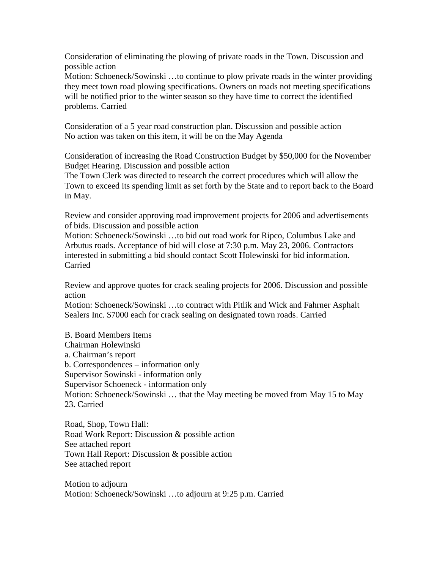Consideration of eliminating the plowing of private roads in the Town. Discussion and possible action

Motion: Schoeneck/Sowinski …to continue to plow private roads in the winter providing they meet town road plowing specifications. Owners on roads not meeting specifications will be notified prior to the winter season so they have time to correct the identified problems. Carried

Consideration of a 5 year road construction plan. Discussion and possible action No action was taken on this item, it will be on the May Agenda

Consideration of increasing the Road Construction Budget by \$50,000 for the November Budget Hearing. Discussion and possible action

The Town Clerk was directed to research the correct procedures which will allow the Town to exceed its spending limit as set forth by the State and to report back to the Board in May.

Review and consider approving road improvement projects for 2006 and advertisements of bids. Discussion and possible action

Motion: Schoeneck/Sowinski …to bid out road work for Ripco, Columbus Lake and Arbutus roads. Acceptance of bid will close at 7:30 p.m. May 23, 2006. Contractors interested in submitting a bid should contact Scott Holewinski for bid information. Carried

Review and approve quotes for crack sealing projects for 2006. Discussion and possible action

Motion: Schoeneck/Sowinski …to contract with Pitlik and Wick and Fahrner Asphalt Sealers Inc. \$7000 each for crack sealing on designated town roads. Carried

B. Board Members Items Chairman Holewinski a. Chairman's report b. Correspondences – information only Supervisor Sowinski - information only Supervisor Schoeneck - information only Motion: Schoeneck/Sowinski … that the May meeting be moved from May 15 to May 23. Carried

Road, Shop, Town Hall: Road Work Report: Discussion & possible action See attached report Town Hall Report: Discussion & possible action See attached report

Motion to adjourn Motion: Schoeneck/Sowinski …to adjourn at 9:25 p.m. Carried